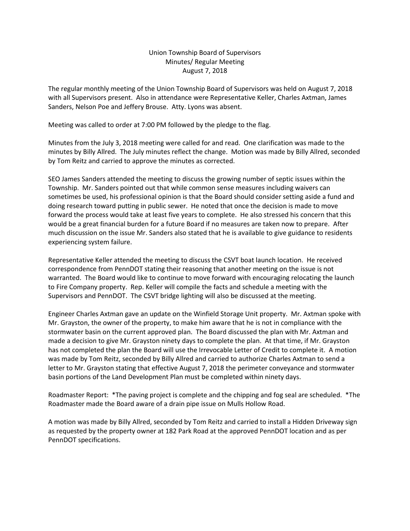## Union Township Board of Supervisors Minutes/ Regular Meeting August 7, 2018

The regular monthly meeting of the Union Township Board of Supervisors was held on August 7, 2018 with all Supervisors present. Also in attendance were Representative Keller, Charles Axtman, James Sanders, Nelson Poe and Jeffery Brouse. Atty. Lyons was absent.

Meeting was called to order at 7:00 PM followed by the pledge to the flag.

Minutes from the July 3, 2018 meeting were called for and read. One clarification was made to the minutes by Billy Allred. The July minutes reflect the change. Motion was made by Billy Allred, seconded by Tom Reitz and carried to approve the minutes as corrected.

SEO James Sanders attended the meeting to discuss the growing number of septic issues within the Township. Mr. Sanders pointed out that while common sense measures including waivers can sometimes be used, his professional opinion is that the Board should consider setting aside a fund and doing research toward putting in public sewer. He noted that once the decision is made to move forward the process would take at least five years to complete. He also stressed his concern that this would be a great financial burden for a future Board if no measures are taken now to prepare. After much discussion on the issue Mr. Sanders also stated that he is available to give guidance to residents experiencing system failure.

Representative Keller attended the meeting to discuss the CSVT boat launch location. He received correspondence from PennDOT stating their reasoning that another meeting on the issue is not warranted. The Board would like to continue to move forward with encouraging relocating the launch to Fire Company property. Rep. Keller will compile the facts and schedule a meeting with the Supervisors and PennDOT. The CSVT bridge lighting will also be discussed at the meeting.

Engineer Charles Axtman gave an update on the Winfield Storage Unit property. Mr. Axtman spoke with Mr. Grayston, the owner of the property, to make him aware that he is not in compliance with the stormwater basin on the current approved plan. The Board discussed the plan with Mr. Axtman and made a decision to give Mr. Grayston ninety days to complete the plan. At that time, if Mr. Grayston has not completed the plan the Board will use the Irrevocable Letter of Credit to complete it. A motion was made by Tom Reitz, seconded by Billy Allred and carried to authorize Charles Axtman to send a letter to Mr. Grayston stating that effective August 7, 2018 the perimeter conveyance and stormwater basin portions of the Land Development Plan must be completed within ninety days.

Roadmaster Report: \*The paving project is complete and the chipping and fog seal are scheduled. \*The Roadmaster made the Board aware of a drain pipe issue on Mulls Hollow Road.

A motion was made by Billy Allred, seconded by Tom Reitz and carried to install a Hidden Driveway sign as requested by the property owner at 182 Park Road at the approved PennDOT location and as per PennDOT specifications.